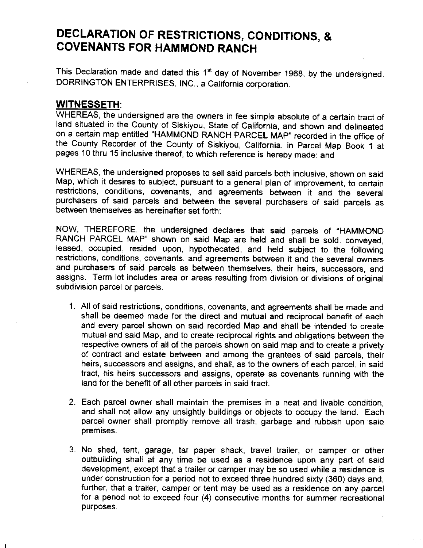## DECLARATION OF RESTRICTIONS, CONDITIONS, & COVENANTS FOR HAMMOND RANCH

This Declaration made and dated this 1<sup>st</sup> day of November 1968, by the undersigned, DORRINGTON ENTERPRISES, INC., a California corporation.

## WITNESSETH:

WHEREAS, the undersigned are the owners in fee simple absolute of a certain tract of land situated in the county of siskiyou, state of california, and shown and delineated on a certain map entitled "HAMMOND RANCH PARCEL MAP" recorded in the office of the county Recorder of the county of siskiyou, california, in parcel Map Book 1 at pages 10 thru 15 inclusive thereof, to which reference is hereby made: and

WHEREAS, the undersigned proposes to sell said parcels both inclusive, shown on said Map, which it desires to subject, pursuant to a general plan of improvement, to certain restrictions, conditions, covenants, and agreements between it and the several purchasers of said parcels and between the several purchasers of said parcels as between themselves as hereinafter set forth;

NOW, THEREFORE, the undersigned declares that said parcels of "HAMMOND RANCH PARCEL MAP" shown on said Map are held and shall be sold, conveyed, leased, occupied, resided upon, hypothecated, and held subject to the following restrictions, conditions, covenants, and agreements between it and the several owners and purchasers of said parcels as between themselves, their heirs, successors, and assigns. Term lot includes area or areas resulting from division or divisions of original subdivision parcel or parcels.

- 1. All of said restrictions, conditions, covenants, and agreements shall be made and shall be deemed made for the direct and mutual and reciorocal benefit of each and every parcel shown on said recorded Map and shall be intended to create mutual and said Map, and to create reciprocal rights and obligations between the respective owners of all of the parcels shown on said map and to create a privety of contract and estate between and among the grantees of said parcels, their heirs, successors and assigns, and shall, as to the owners of each parcel, in said tract, his heirs successors and assigns, operate as covenants running with the land for the benefit of all other parcels in said tract.
- 2. Each parcel owner shall maintain the premises in a neat and livable condition, and shall not allow any unsightly buildings or objects to occupy the land. Each parcel owner shall promptly remove all trash, garbage and rubbish upon said premises.
- 3. No shed, tent, garage, tar paper shack, travel trailer, or camper or other outbuilding shall at any time be used as a residence upon any part of said development, except that a trailer or camper may be so used while a residence is under construction for a period not to exceed three hundred sixty (360) days and, further, that a trailer, camper or tent may be used as a residence on any parcel for a period not to exceed four (4) consecutive months for summer recreational purposes.

 $\mathbb{R}^{\mathscr{R}}$